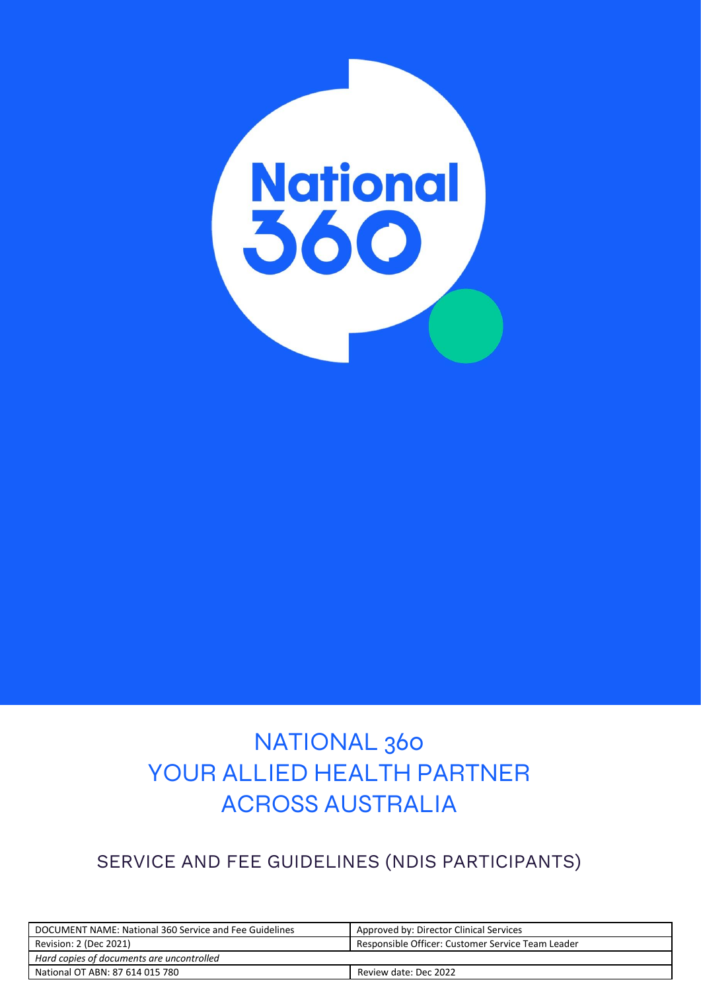

### NATIONAL 360 YOUR ALLIED HEALTH PARTNER ACROSS AUSTRALIA

### SERVICE AND FEE GUIDELINES (NDIS PARTICIPANTS)

| DOCUMENT NAME: National 360 Service and Fee Guidelines | Approved by: Director Clinical Services           |
|--------------------------------------------------------|---------------------------------------------------|
| Revision: 2 (Dec 2021)                                 | Responsible Officer: Customer Service Team Leader |
| Hard copies of documents are uncontrolled              |                                                   |
| National OT ABN: 87 614 015 780                        | Review date: Dec 2022                             |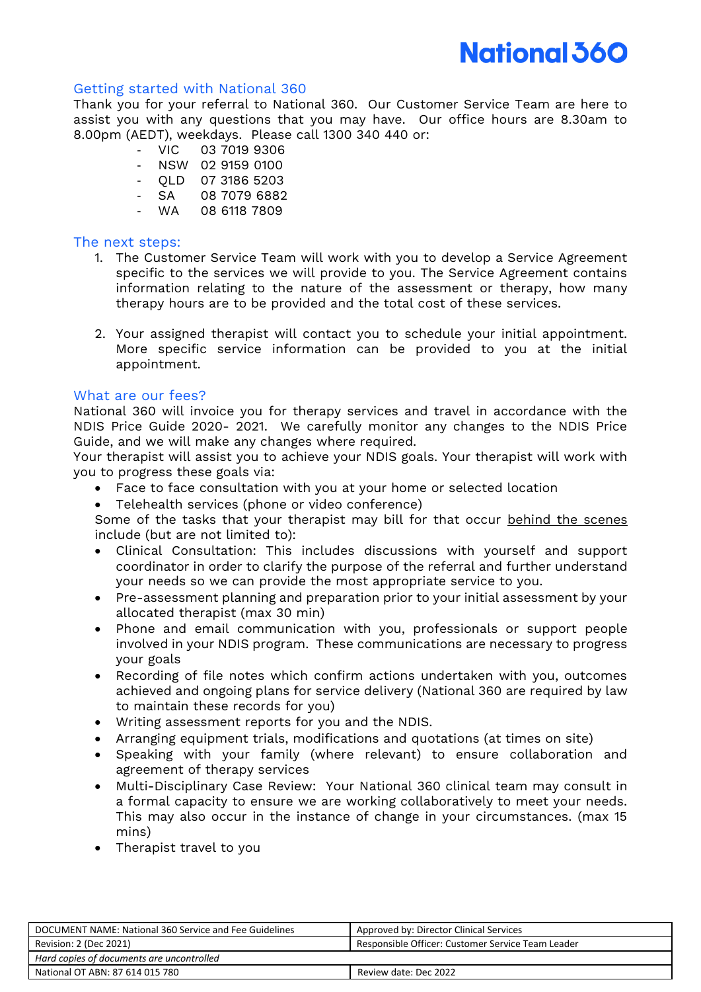#### Getting started with National 360

Thank you for your referral to National 360. Our Customer Service Team are here to assist you with any questions that you may have. Our office hours are 8.30am to 8.00pm (AEDT), weekdays. Please call 1300 340 440 or:

- VIC 03 7019 9306
- NSW 02 9159 0100
- QLD 07 3186 5203
- SA 08 7079 6882
- WA 08 6118 7809

#### The next steps:

- 1. The Customer Service Team will work with you to develop a Service Agreement specific to the services we will provide to you. The Service Agreement contains information relating to the nature of the assessment or therapy, how many therapy hours are to be provided and the total cost of these services.
- 2. Your assigned therapist will contact you to schedule your initial appointment. More specific service information can be provided to you at the initial appointment.

#### What are our fees?

National 360 will invoice you for therapy services and travel in accordance with the NDIS Price Guide 2020- 2021. We carefully monitor any changes to the NDIS Price Guide, and we will make any changes where required.

Your therapist will assist you to achieve your NDIS goals. Your therapist will work with you to progress these goals via:

- Face to face consultation with you at your home or selected location
- Telehealth services (phone or video conference)

Some of the tasks that your therapist may bill for that occur behind the scenes include (but are not limited to):

- Clinical Consultation: This includes discussions with yourself and support coordinator in order to clarify the purpose of the referral and further understand your needs so we can provide the most appropriate service to you.
- Pre-assessment planning and preparation prior to your initial assessment by your allocated therapist (max 30 min)
- Phone and email communication with you, professionals or support people involved in your NDIS program. These communications are necessary to progress your goals
- Recording of file notes which confirm actions undertaken with you, outcomes achieved and ongoing plans for service delivery (National 360 are required by law to maintain these records for you)
- Writing assessment reports for you and the NDIS.
- Arranging equipment trials, modifications and quotations (at times on site)
- Speaking with your family (where relevant) to ensure collaboration and agreement of therapy services
- Multi-Disciplinary Case Review: Your National 360 clinical team may consult in a formal capacity to ensure we are working collaboratively to meet your needs. This may also occur in the instance of change in your circumstances. (max 15 mins)
- Therapist travel to you

| DOCUMENT NAME: National 360 Service and Fee Guidelines | Approved by: Director Clinical Services           |
|--------------------------------------------------------|---------------------------------------------------|
| Revision: 2 (Dec 2021)                                 | Responsible Officer: Customer Service Team Leader |
| Hard copies of documents are uncontrolled              |                                                   |
| National OT ABN: 87 614 015 780                        | Review date: Dec 2022                             |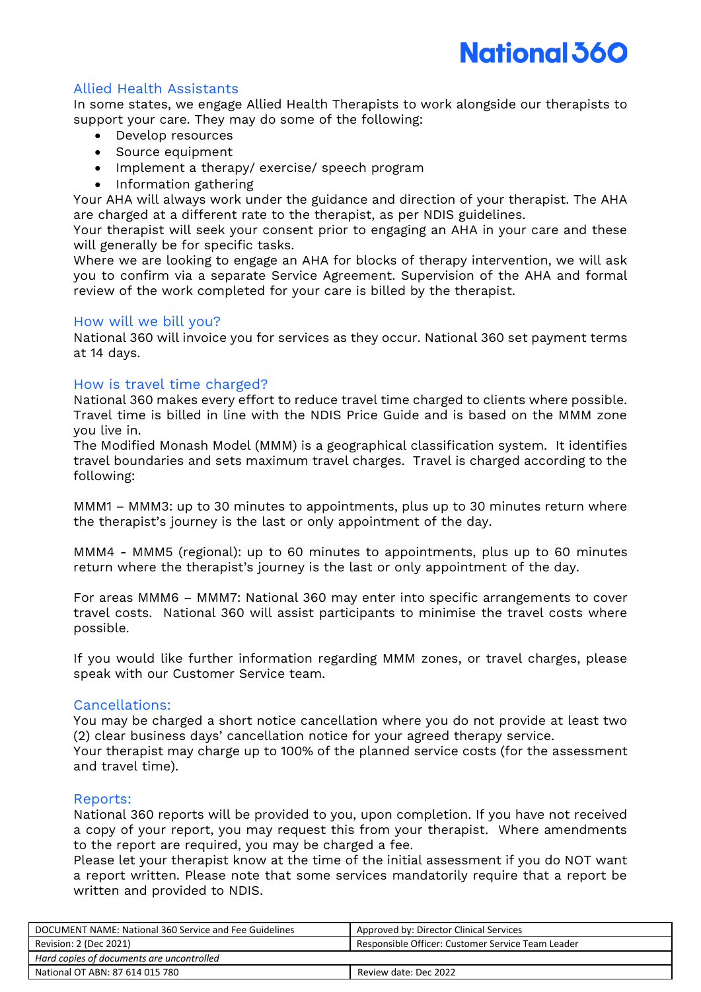#### Allied Health Assistants

In some states, we engage Allied Health Therapists to work alongside our therapists to support your care. They may do some of the following:

- Develop resources
- Source equipment
- Implement a therapy/ exercise/ speech program
- Information gathering

Your AHA will always work under the guidance and direction of your therapist. The AHA are charged at a different rate to the therapist, as per NDIS guidelines.

Your therapist will seek your consent prior to engaging an AHA in your care and these will generally be for specific tasks.

Where we are looking to engage an AHA for blocks of therapy intervention, we will ask you to confirm via a separate Service Agreement. Supervision of the AHA and formal review of the work completed for your care is billed by the therapist.

#### How will we bill you?

National 360 will invoice you for services as they occur. National 360 set payment terms at 14 days.

#### How is travel time charged?

National 360 makes every effort to reduce travel time charged to clients where possible. Travel time is billed in line with the NDIS Price Guide and is based on the MMM zone you live in.

The Modified Monash Model (MMM) is a geographical classification system. It identifies travel boundaries and sets maximum travel charges. Travel is charged according to the following:

MMM1 – MMM3: up to 30 minutes to appointments, plus up to 30 minutes return where the therapist's journey is the last or only appointment of the day.

MMM4 - MMM5 (regional): up to 60 minutes to appointments, plus up to 60 minutes return where the therapist's journey is the last or only appointment of the day.

For areas MMM6 – MMM7: National 360 may enter into specific arrangements to cover travel costs. National 360 will assist participants to minimise the travel costs where possible.

If you would like further information regarding MMM zones, or travel charges, please speak with our Customer Service team.

#### Cancellations:

You may be charged a short notice cancellation where you do not provide at least two (2) clear business days' cancellation notice for your agreed therapy service.

Your therapist may charge up to 100% of the planned service costs (for the assessment and travel time).

#### Reports:

National 360 reports will be provided to you, upon completion. If you have not received a copy of your report, you may request this from your therapist. Where amendments to the report are required, you may be charged a fee.

Please let your therapist know at the time of the initial assessment if you do NOT want a report written. Please note that some services mandatorily require that a report be written and provided to NDIS.

| DOCUMENT NAME: National 360 Service and Fee Guidelines | Approved by: Director Clinical Services           |
|--------------------------------------------------------|---------------------------------------------------|
| Revision: 2 (Dec 2021)                                 | Responsible Officer: Customer Service Team Leader |
| Hard copies of documents are uncontrolled              |                                                   |
| National OT ABN: 87 614 015 780                        | Review date: Dec 2022                             |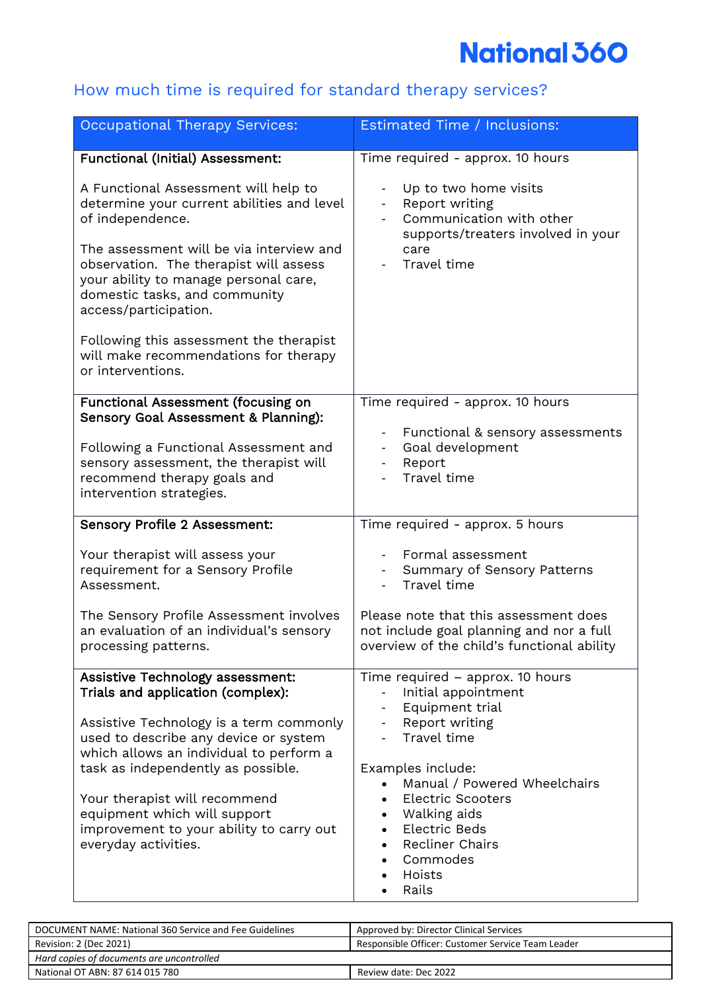### How much time is required for standard therapy services?

| <b>Occupational Therapy Services:</b>                                                                                                                                                                                                                                                                                                                                           | Estimated Time / Inclusions:                                                                                                                                                                                                                                                                                                                              |
|---------------------------------------------------------------------------------------------------------------------------------------------------------------------------------------------------------------------------------------------------------------------------------------------------------------------------------------------------------------------------------|-----------------------------------------------------------------------------------------------------------------------------------------------------------------------------------------------------------------------------------------------------------------------------------------------------------------------------------------------------------|
| <b>Functional (Initial) Assessment:</b>                                                                                                                                                                                                                                                                                                                                         | Time required - approx. 10 hours                                                                                                                                                                                                                                                                                                                          |
| A Functional Assessment will help to<br>determine your current abilities and level<br>of independence.<br>The assessment will be via interview and<br>observation. The therapist will assess<br>your ability to manage personal care,<br>domestic tasks, and community<br>access/participation.                                                                                 | Up to two home visits<br>Report writing<br>Communication with other<br>supports/treaters involved in your<br>care<br>Travel time                                                                                                                                                                                                                          |
| Following this assessment the therapist<br>will make recommendations for therapy<br>or interventions.                                                                                                                                                                                                                                                                           |                                                                                                                                                                                                                                                                                                                                                           |
| <b>Functional Assessment (focusing on</b><br>Sensory Goal Assessment & Planning):<br>Following a Functional Assessment and<br>sensory assessment, the therapist will<br>recommend therapy goals and<br>intervention strategies.                                                                                                                                                 | Time required - approx. 10 hours<br>Functional & sensory assessments<br>Goal development<br>Report<br>Travel time                                                                                                                                                                                                                                         |
| Sensory Profile 2 Assessment:                                                                                                                                                                                                                                                                                                                                                   | Time required - approx. 5 hours                                                                                                                                                                                                                                                                                                                           |
| Your therapist will assess your<br>requirement for a Sensory Profile<br>Assessment.                                                                                                                                                                                                                                                                                             | Formal assessment<br>Summary of Sensory Patterns<br>Travel time                                                                                                                                                                                                                                                                                           |
| The Sensory Profile Assessment involves<br>an evaluation of an individual's sensory<br>processing patterns.                                                                                                                                                                                                                                                                     | Please note that this assessment does<br>not include goal planning and nor a full<br>overview of the child's functional ability                                                                                                                                                                                                                           |
| Assistive Technology assessment:<br>Trials and application (complex):<br>Assistive Technology is a term commonly<br>used to describe any device or system<br>which allows an individual to perform a<br>task as independently as possible.<br>Your therapist will recommend<br>equipment which will support<br>improvement to your ability to carry out<br>everyday activities. | Time required - approx. 10 hours<br>Initial appointment<br>Equipment trial<br>Report writing<br>$\overline{\phantom{0}}$<br>Travel time<br>Examples include:<br>Manual / Powered Wheelchairs<br><b>Electric Scooters</b><br>Walking aids<br>$\bullet$<br>Electric Beds<br>$\bullet$<br><b>Recliner Chairs</b><br>$\bullet$<br>Commodes<br>Hoists<br>Rails |

| DOCUMENT NAME: National 360 Service and Fee Guidelines | Approved by: Director Clinical Services           |
|--------------------------------------------------------|---------------------------------------------------|
| Revision: 2 (Dec 2021)                                 | Responsible Officer: Customer Service Team Leader |
| Hard copies of documents are uncontrolled              |                                                   |
| National OT ABN: 87 614 015 780                        | Review date: Dec 2022                             |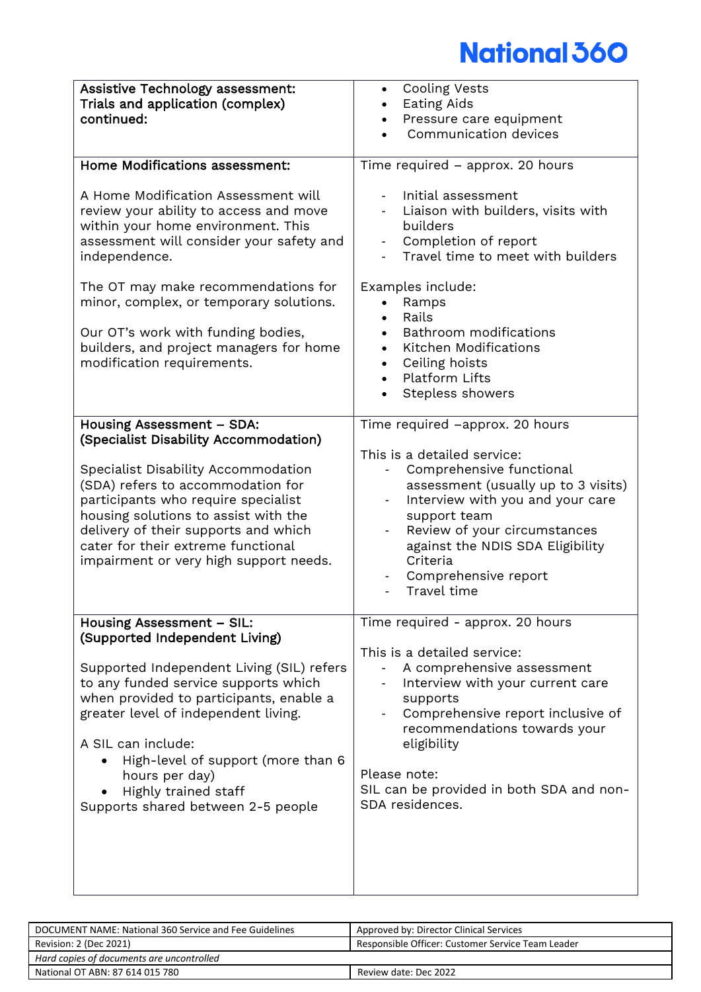| <b>Assistive Technology assessment:</b><br>Trials and application (complex)<br>continued:                                                                                                                                                                                                                                                                                         | <b>Cooling Vests</b><br>$\bullet$<br><b>Eating Aids</b><br>Pressure care equipment<br>Communication devices                                                                                                                                                                                                                    |
|-----------------------------------------------------------------------------------------------------------------------------------------------------------------------------------------------------------------------------------------------------------------------------------------------------------------------------------------------------------------------------------|--------------------------------------------------------------------------------------------------------------------------------------------------------------------------------------------------------------------------------------------------------------------------------------------------------------------------------|
| <b>Home Modifications assessment:</b>                                                                                                                                                                                                                                                                                                                                             | Time required - approx. 20 hours                                                                                                                                                                                                                                                                                               |
| A Home Modification Assessment will<br>review your ability to access and move<br>within your home environment. This<br>assessment will consider your safety and<br>independence.<br>The OT may make recommendations for<br>minor, complex, or temporary solutions.<br>Our OT's work with funding bodies,<br>builders, and project managers for home<br>modification requirements. | Initial assessment<br>Liaison with builders, visits with<br>builders<br>Completion of report<br>Travel time to meet with builders<br>Examples include:<br>Ramps<br>Rails<br><b>Bathroom</b> modifications<br>Kitchen Modifications<br>Ceiling hoists<br>$\bullet$<br>Platform Lifts<br>$\bullet$<br>Stepless showers           |
| Housing Assessment - SDA:<br>(Specialist Disability Accommodation)<br>Specialist Disability Accommodation<br>(SDA) refers to accommodation for<br>participants who require specialist<br>housing solutions to assist with the<br>delivery of their supports and which<br>cater for their extreme functional<br>impairment or very high support needs.                             | Time required -approx. 20 hours<br>This is a detailed service:<br>Comprehensive functional<br>assessment (usually up to 3 visits)<br>Interview with you and your care<br>support team<br>Review of your circumstances<br>$\blacksquare$<br>against the NDIS SDA Eligibility<br>Criteria<br>Comprehensive report<br>Travel time |
| Housing Assessment - SIL:<br>(Supported Independent Living)<br>Supported Independent Living (SIL) refers<br>to any funded service supports which<br>when provided to participants, enable a<br>greater level of independent living.<br>A SIL can include:<br>High-level of support (more than 6<br>hours per day)<br>Highly trained staff<br>Supports shared between 2-5 people   | Time required - approx. 20 hours<br>This is a detailed service:<br>A comprehensive assessment<br>Interview with your current care<br>supports<br>Comprehensive report inclusive of<br>recommendations towards your<br>eligibility<br>Please note:<br>SIL can be provided in both SDA and non-<br>SDA residences.               |

| DOCUMENT NAME: National 360 Service and Fee Guidelines | Approved by: Director Clinical Services           |
|--------------------------------------------------------|---------------------------------------------------|
| Revision: 2 (Dec 2021)                                 | Responsible Officer: Customer Service Team Leader |
| Hard copies of documents are uncontrolled              |                                                   |
| National OT ABN: 87 614 015 780                        | Review date: Dec 2022                             |
|                                                        |                                                   |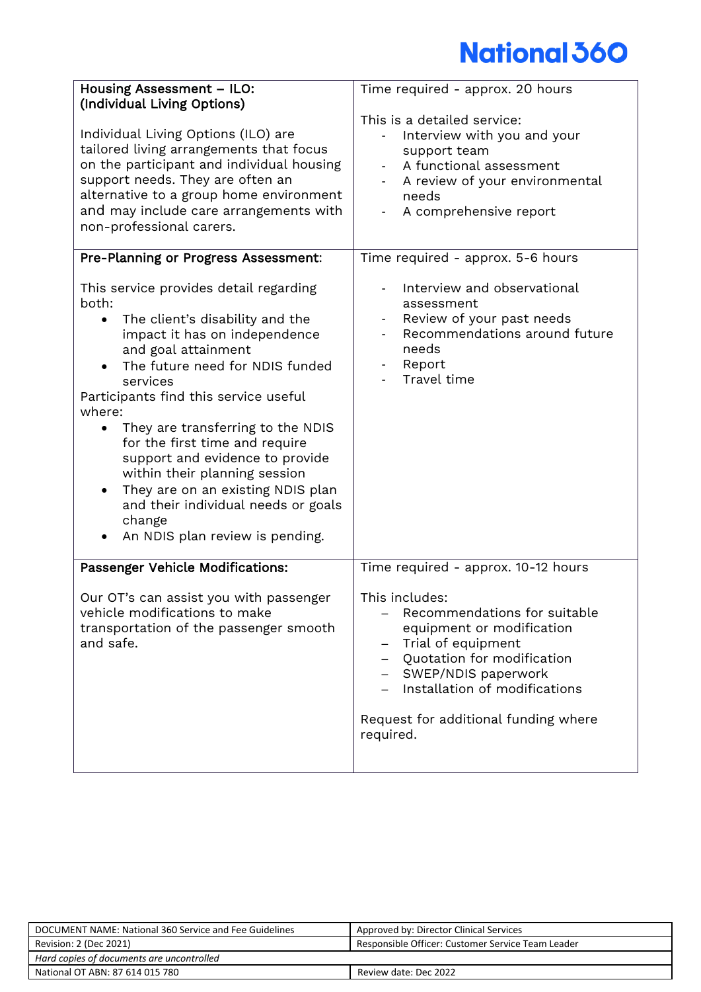| <b>Housing Assessment - ILO:</b><br>(Individual Living Options)<br>Individual Living Options (ILO) are<br>tailored living arrangements that focus<br>on the participant and individual housing<br>support needs. They are often an<br>alternative to a group home environment<br>and may include care arrangements with<br>non-professional carers.                                                                                                                                                                                                     | Time required - approx. 20 hours<br>This is a detailed service:<br>Interview with you and your<br>support team<br>A functional assessment<br>$\sim$<br>A review of your environmental<br>needs<br>A comprehensive report                          |
|---------------------------------------------------------------------------------------------------------------------------------------------------------------------------------------------------------------------------------------------------------------------------------------------------------------------------------------------------------------------------------------------------------------------------------------------------------------------------------------------------------------------------------------------------------|---------------------------------------------------------------------------------------------------------------------------------------------------------------------------------------------------------------------------------------------------|
| Pre-Planning or Progress Assessment:                                                                                                                                                                                                                                                                                                                                                                                                                                                                                                                    | Time required - approx. 5-6 hours                                                                                                                                                                                                                 |
| This service provides detail regarding<br>both:<br>The client's disability and the<br>$\bullet$<br>impact it has on independence<br>and goal attainment<br>The future need for NDIS funded<br>services<br>Participants find this service useful<br>where:<br>They are transferring to the NDIS<br>$\bullet$<br>for the first time and require<br>support and evidence to provide<br>within their planning session<br>They are on an existing NDIS plan<br>$\bullet$<br>and their individual needs or goals<br>change<br>An NDIS plan review is pending. | Interview and observational<br>assessment<br>Review of your past needs<br>Recommendations around future<br>needs<br>Report<br>Travel time                                                                                                         |
| Passenger Vehicle Modifications:                                                                                                                                                                                                                                                                                                                                                                                                                                                                                                                        | Time required - approx. 10-12 hours                                                                                                                                                                                                               |
| Our OT's can assist you with passenger<br>vehicle modifications to make<br>transportation of the passenger smooth<br>and safe.                                                                                                                                                                                                                                                                                                                                                                                                                          | This includes:<br>Recommendations for suitable<br>equipment or modification<br>Trial of equipment<br>—<br>Quotation for modification<br>SWEP/NDIS paperwork<br>Installation of modifications<br>Request for additional funding where<br>required. |

| DOCUMENT NAME: National 360 Service and Fee Guidelines | Approved by: Director Clinical Services           |
|--------------------------------------------------------|---------------------------------------------------|
| Revision: 2 (Dec 2021)                                 | Responsible Officer: Customer Service Team Leader |
| Hard copies of documents are uncontrolled              |                                                   |
| National OT ABN: 87 614 015 780                        | Review date: Dec 2022                             |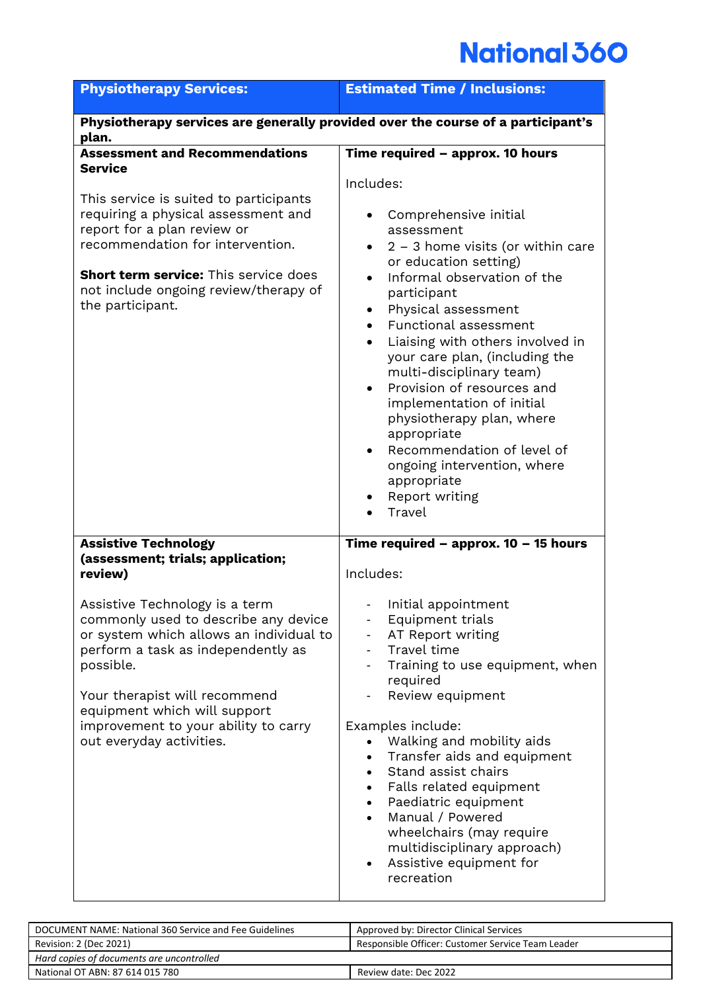| Physiotherapy services are generally provided over the course of a participant's<br>Time required - approx. 10 hours                                                                                                                                                                                                                                                                                                                                                                                               |
|--------------------------------------------------------------------------------------------------------------------------------------------------------------------------------------------------------------------------------------------------------------------------------------------------------------------------------------------------------------------------------------------------------------------------------------------------------------------------------------------------------------------|
|                                                                                                                                                                                                                                                                                                                                                                                                                                                                                                                    |
| Comprehensive initial<br>assessment<br>$2 - 3$ home visits (or within care<br>or education setting)<br>Informal observation of the<br>participant<br>Physical assessment<br>Functional assessment<br>Liaising with others involved in<br>your care plan, (including the<br>multi-disciplinary team)<br>Provision of resources and<br>implementation of initial<br>physiotherapy plan, where<br>appropriate<br>Recommendation of level of<br>ongoing intervention, where<br>appropriate<br>Report writing<br>Travel |
| Time required - approx. $10 - 15$ hours<br>Initial appointment<br>Equipment trials<br>AT Report writing<br>Travel time<br>Training to use equipment, when<br>required<br>Review equipment<br>Examples include:<br>Walking and mobility aids<br>Transfer aids and equipment<br>Stand assist chairs<br>Falls related equipment<br>Paediatric equipment<br>Manual / Powered                                                                                                                                           |
|                                                                                                                                                                                                                                                                                                                                                                                                                                                                                                                    |

| DOCUMENT NAME: National 360 Service and Fee Guidelines | Approved by: Director Clinical Services           |
|--------------------------------------------------------|---------------------------------------------------|
| Revision: 2 (Dec 2021)                                 | Responsible Officer: Customer Service Team Leader |
| Hard copies of documents are uncontrolled              |                                                   |
| National OT ABN: 87 614 015 780                        | Review date: Dec 2022                             |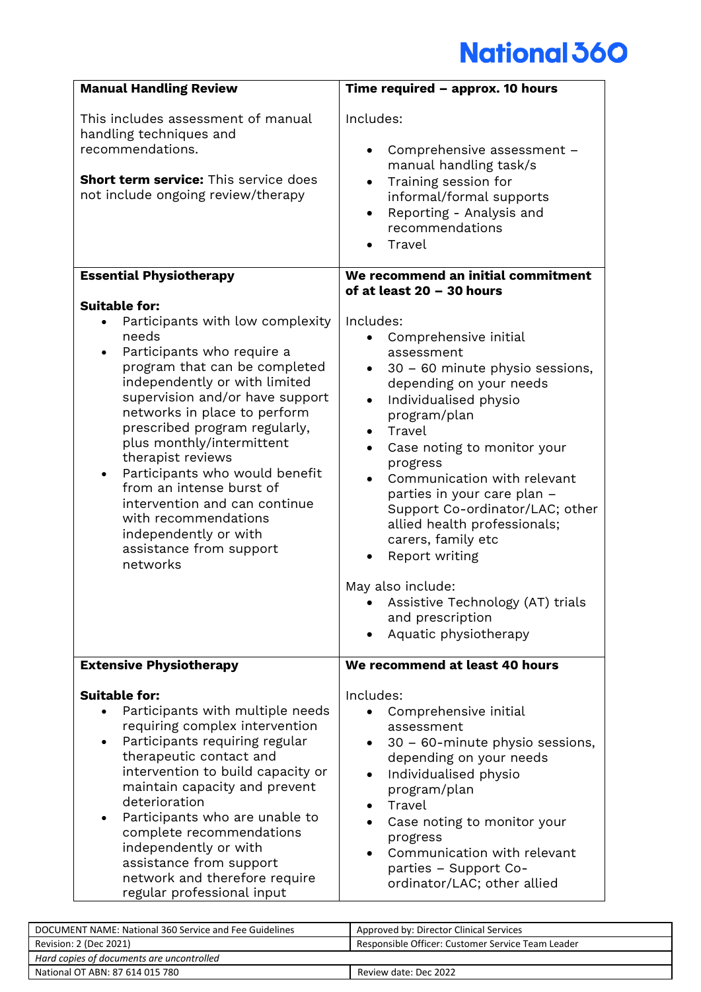| <b>Manual Handling Review</b>                                                                                                                                                                                                                                                                                                                                                                                                                                                                                  | Time required - approx. 10 hours                                                                                                                                                                                                                                                                                                                                                                                                                                                                                                                     |
|----------------------------------------------------------------------------------------------------------------------------------------------------------------------------------------------------------------------------------------------------------------------------------------------------------------------------------------------------------------------------------------------------------------------------------------------------------------------------------------------------------------|------------------------------------------------------------------------------------------------------------------------------------------------------------------------------------------------------------------------------------------------------------------------------------------------------------------------------------------------------------------------------------------------------------------------------------------------------------------------------------------------------------------------------------------------------|
| This includes assessment of manual<br>handling techniques and<br>recommendations.<br>Short term service: This service does<br>not include ongoing review/therapy                                                                                                                                                                                                                                                                                                                                               | Includes:<br>Comprehensive assessment -<br>manual handling task/s<br>Training session for<br>informal/formal supports<br>Reporting - Analysis and<br>$\bullet$<br>recommendations<br>Travel                                                                                                                                                                                                                                                                                                                                                          |
| <b>Essential Physiotherapy</b>                                                                                                                                                                                                                                                                                                                                                                                                                                                                                 | We recommend an initial commitment                                                                                                                                                                                                                                                                                                                                                                                                                                                                                                                   |
| <b>Suitable for:</b><br>Participants with low complexity<br>needs<br>Participants who require a<br>program that can be completed<br>independently or with limited<br>supervision and/or have support<br>networks in place to perform<br>prescribed program regularly,<br>plus monthly/intermittent<br>therapist reviews<br>Participants who would benefit<br>from an intense burst of<br>intervention and can continue<br>with recommendations<br>independently or with<br>assistance from support<br>networks | of at least 20 - 30 hours<br>Includes:<br>Comprehensive initial<br>assessment<br>30 - 60 minute physio sessions,<br>depending on your needs<br>Individualised physio<br>$\bullet$<br>program/plan<br>Travel<br>$\bullet$<br>Case noting to monitor your<br>progress<br>Communication with relevant<br>parties in your care plan -<br>Support Co-ordinator/LAC; other<br>allied health professionals;<br>carers, family etc<br>Report writing<br>May also include:<br>• Assistive Technology (AT) trials<br>and prescription<br>Aquatic physiotherapy |
| <b>Extensive Physiotherapy</b>                                                                                                                                                                                                                                                                                                                                                                                                                                                                                 | We recommend at least 40 hours                                                                                                                                                                                                                                                                                                                                                                                                                                                                                                                       |
| <b>Suitable for:</b><br>Participants with multiple needs<br>requiring complex intervention<br>Participants requiring regular<br>therapeutic contact and<br>intervention to build capacity or<br>maintain capacity and prevent<br>deterioration<br>Participants who are unable to<br>complete recommendations<br>independently or with<br>assistance from support<br>network and therefore require<br>regular professional input                                                                                | Includes:<br>Comprehensive initial<br>assessment<br>30 - 60-minute physio sessions,<br>depending on your needs<br>Individualised physio<br>program/plan<br>Travel<br>Case noting to monitor your<br>progress<br>Communication with relevant<br>parties - Support Co-<br>ordinator/LAC; other allied                                                                                                                                                                                                                                                  |

| DOCUMENT NAME: National 360 Service and Fee Guidelines | Approved by: Director Clinical Services           |  |
|--------------------------------------------------------|---------------------------------------------------|--|
| Revision: 2 (Dec 2021)                                 | Responsible Officer: Customer Service Team Leader |  |
| Hard copies of documents are uncontrolled              |                                                   |  |
| National OT ABN: 87 614 015 780                        | Review date: Dec 2022                             |  |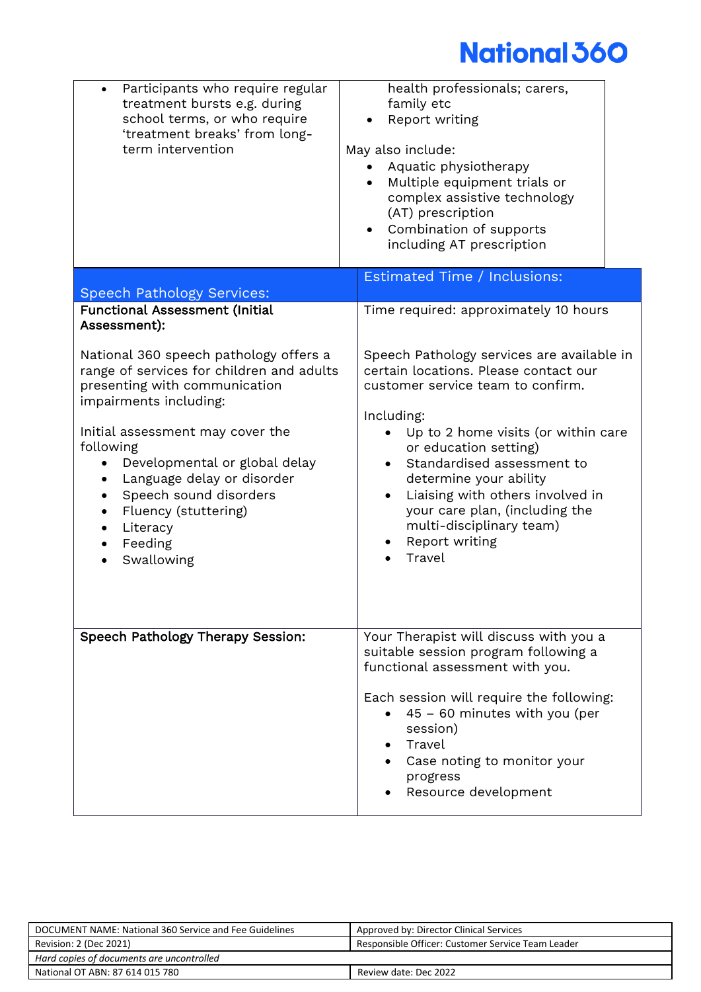| Participants who require regular<br>treatment bursts e.g. during<br>school terms, or who require<br>'treatment breaks' from long-<br>term intervention                                                                                                                                                                                                | health professionals; carers,<br>family etc<br>Report writing<br>May also include:<br>• Aquatic physiotherapy<br>Multiple equipment trials or<br>complex assistive technology<br>(AT) prescription<br>• Combination of supports<br>including AT prescription                                                                                                                                              |
|-------------------------------------------------------------------------------------------------------------------------------------------------------------------------------------------------------------------------------------------------------------------------------------------------------------------------------------------------------|-----------------------------------------------------------------------------------------------------------------------------------------------------------------------------------------------------------------------------------------------------------------------------------------------------------------------------------------------------------------------------------------------------------|
| <b>Speech Pathology Services:</b>                                                                                                                                                                                                                                                                                                                     | <b>Estimated Time / Inclusions:</b>                                                                                                                                                                                                                                                                                                                                                                       |
| <b>Functional Assessment (Initial</b><br>Assessment):                                                                                                                                                                                                                                                                                                 | Time required: approximately 10 hours                                                                                                                                                                                                                                                                                                                                                                     |
| National 360 speech pathology offers a<br>range of services for children and adults<br>presenting with communication<br>impairments including:<br>Initial assessment may cover the<br>following<br>Developmental or global delay<br>Language delay or disorder<br>Speech sound disorders<br>Fluency (stuttering)<br>Literacy<br>Feeding<br>Swallowing | Speech Pathology services are available in<br>certain locations. Please contact our<br>customer service team to confirm.<br>Including:<br>Up to 2 home visits (or within care<br>or education setting)<br>Standardised assessment to<br>determine your ability<br>Liaising with others involved in<br>$\bullet$<br>your care plan, (including the<br>multi-disciplinary team)<br>Report writing<br>Travel |
| Speech Pathology Therapy Session:                                                                                                                                                                                                                                                                                                                     | Your Therapist will discuss with you a<br>suitable session program following a<br>functional assessment with you.<br>Each session will require the following:<br>45 - 60 minutes with you (per<br>session)<br>Travel<br>Case noting to monitor your<br>progress<br>Resource development                                                                                                                   |

| DOCUMENT NAME: National 360 Service and Fee Guidelines | Approved by: Director Clinical Services           |
|--------------------------------------------------------|---------------------------------------------------|
| Revision: 2 (Dec 2021)                                 | Responsible Officer: Customer Service Team Leader |
| Hard copies of documents are uncontrolled              |                                                   |
| National OT ABN: 87 614 015 780                        | Review date: Dec 2022                             |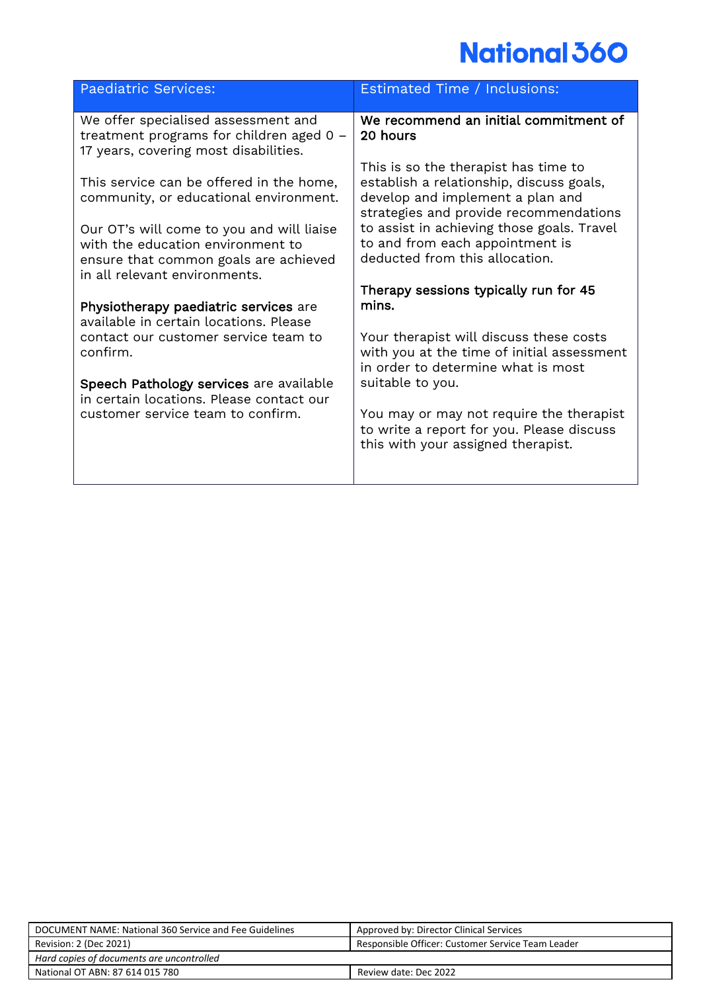| Paediatric Services:                                                                                                                                     | Estimated Time / Inclusions:                                                                                                                                   |
|----------------------------------------------------------------------------------------------------------------------------------------------------------|----------------------------------------------------------------------------------------------------------------------------------------------------------------|
| We offer specialised assessment and<br>treatment programs for children aged 0 -<br>17 years, covering most disabilities.                                 | We recommend an initial commitment of<br>20 hours                                                                                                              |
| This service can be offered in the home,<br>community, or educational environment.                                                                       | This is so the therapist has time to<br>establish a relationship, discuss goals,<br>develop and implement a plan and<br>strategies and provide recommendations |
| Our OT's will come to you and will liaise<br>with the education environment to<br>ensure that common goals are achieved<br>in all relevant environments. | to assist in achieving those goals. Travel<br>to and from each appointment is<br>deducted from this allocation.                                                |
|                                                                                                                                                          | Therapy sessions typically run for 45                                                                                                                          |
| Physiotherapy paediatric services are<br>available in certain locations. Please                                                                          | mins.                                                                                                                                                          |
| contact our customer service team to<br>confirm.                                                                                                         | Your therapist will discuss these costs<br>with you at the time of initial assessment<br>in order to determine what is most                                    |
| Speech Pathology services are available<br>in certain locations. Please contact our                                                                      | suitable to you.                                                                                                                                               |
| customer service team to confirm.                                                                                                                        | You may or may not require the therapist<br>to write a report for you. Please discuss<br>this with your assigned therapist.                                    |
|                                                                                                                                                          |                                                                                                                                                                |

| DOCUMENT NAME: National 360 Service and Fee Guidelines | Approved by: Director Clinical Services           |  |
|--------------------------------------------------------|---------------------------------------------------|--|
| Revision: 2 (Dec 2021)                                 | Responsible Officer: Customer Service Team Leader |  |
| Hard copies of documents are uncontrolled              |                                                   |  |
| National OT ABN: 87 614 015 780                        | Review date: Dec 2022                             |  |